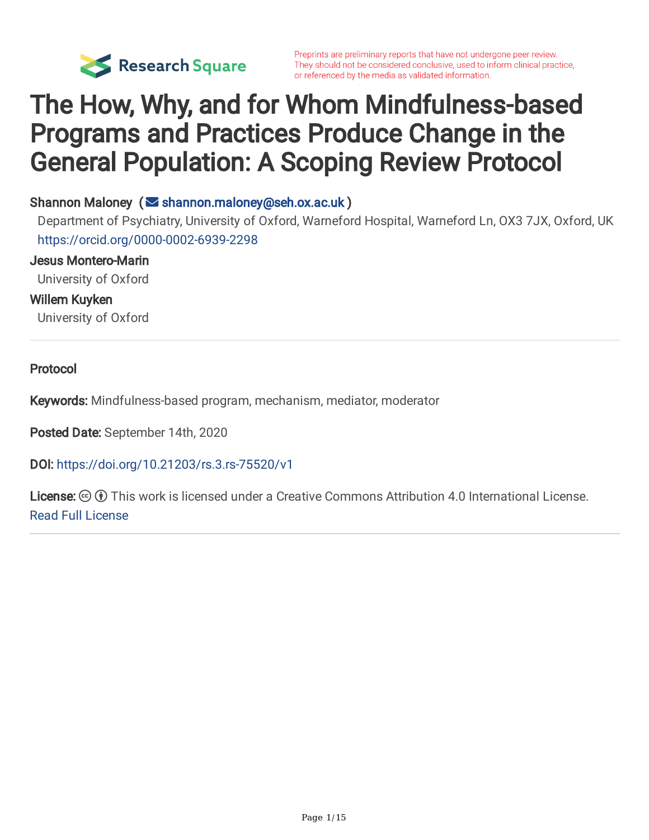

# The How, Why, and for Whom Mindfulness-based Programs and Practices Produce Change in the General Population: A Scoping Review Protocol

#### Shannon Maloney ( $\blacktriangleright$  [shannon.maloney@seh.ox.ac.uk](mailto:shannon.maloney@seh.ox.ac.uk))

Department of Psychiatry, University of Oxford, Warneford Hospital, Warneford Ln, OX3 7JX, Oxford, UK <https://orcid.org/0000-0002-6939-2298>

Jesus Montero-Marin

University of Oxford

Willem Kuyken

University of Oxford

Protocol

Keywords: Mindfulness-based program, mechanism, mediator, moderator

Posted Date: September 14th, 2020

DOI: <https://doi.org/10.21203/rs.3.rs-75520/v1>

**License:**  $\circledcirc$   $\circledcirc$  This work is licensed under a Creative Commons Attribution 4.0 International License. Read Full [License](https://creativecommons.org/licenses/by/4.0/)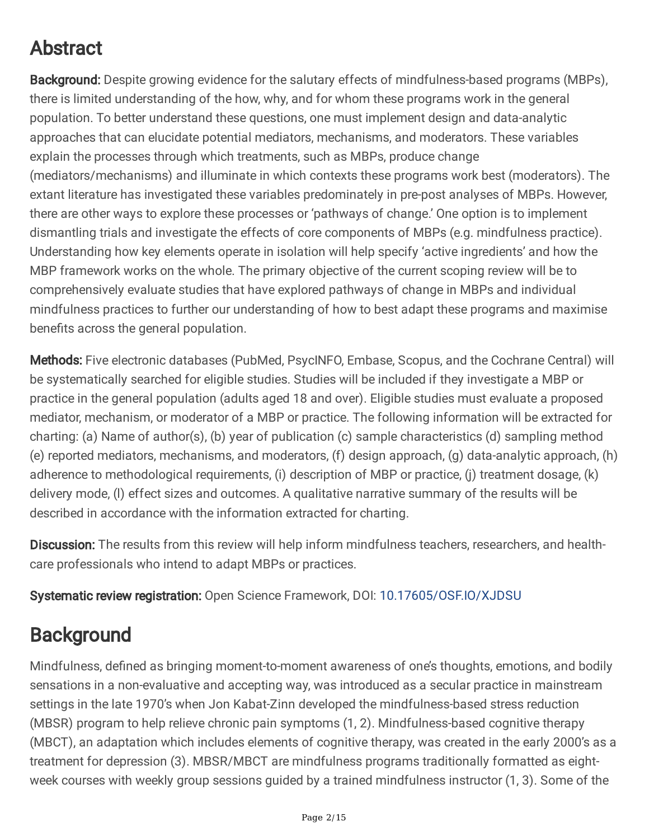# Abstract

Background: Despite growing evidence for the salutary effects of mindfulness-based programs (MBPs), there is limited understanding of the how, why, and for whom these programs work in the general population. To better understand these questions, one must implement design and data-analytic approaches that can elucidate potential mediators, mechanisms, and moderators. These variables explain the processes through which treatments, such as MBPs, produce change (mediators/mechanisms) and illuminate in which contexts these programs work best (moderators). The extant literature has investigated these variables predominately in pre-post analyses of MBPs. However, there are other ways to explore these processes or 'pathways of change.' One option is to implement dismantling trials and investigate the effects of core components of MBPs (e.g. mindfulness practice). Understanding how key elements operate in isolation will help specify 'active ingredients' and how the MBP framework works on the whole. The primary objective of the current scoping review will be to comprehensively evaluate studies that have explored pathways of change in MBPs and individual mindfulness practices to further our understanding of how to best adapt these programs and maximise benefits across the general population.

Methods: Five electronic databases (PubMed, PsycINFO, Embase, Scopus, and the Cochrane Central) will be systematically searched for eligible studies. Studies will be included if they investigate a MBP or practice in the general population (adults aged 18 and over). Eligible studies must evaluate a proposed mediator, mechanism, or moderator of a MBP or practice. The following information will be extracted for charting: (a) Name of author(s), (b) year of publication (c) sample characteristics (d) sampling method (e) reported mediators, mechanisms, and moderators, (f) design approach, (g) data-analytic approach, (h) adherence to methodological requirements, (i) description of MBP or practice, (j) treatment dosage, (k) delivery mode, (l) effect sizes and outcomes. A qualitative narrative summary of the results will be described in accordance with the information extracted for charting.

Discussion: The results from this review will help inform mindfulness teachers, researchers, and healthcare professionals who intend to adapt MBPs or practices.

Systematic review registration: Open Science Framework, DOI: [10.17605/OSF.IO/XJDSU](https://doi.org/10.17605/OSF.IO/XJDSU)

## **Background**

Mindfulness, defined as bringing moment-to-moment awareness of one's thoughts, emotions, and bodily sensations in a non-evaluative and accepting way, was introduced as a secular practice in mainstream settings in the late 1970's when Jon Kabat-Zinn developed the mindfulness-based stress reduction (MBSR) program to help relieve chronic pain symptoms (1, 2). Mindfulness-based cognitive therapy (MBCT), an adaptation which includes elements of cognitive therapy, was created in the early 2000's as a treatment for depression (3). MBSR/MBCT are mindfulness programs traditionally formatted as eightweek courses with weekly group sessions guided by a trained mindfulness instructor (1, 3). Some of the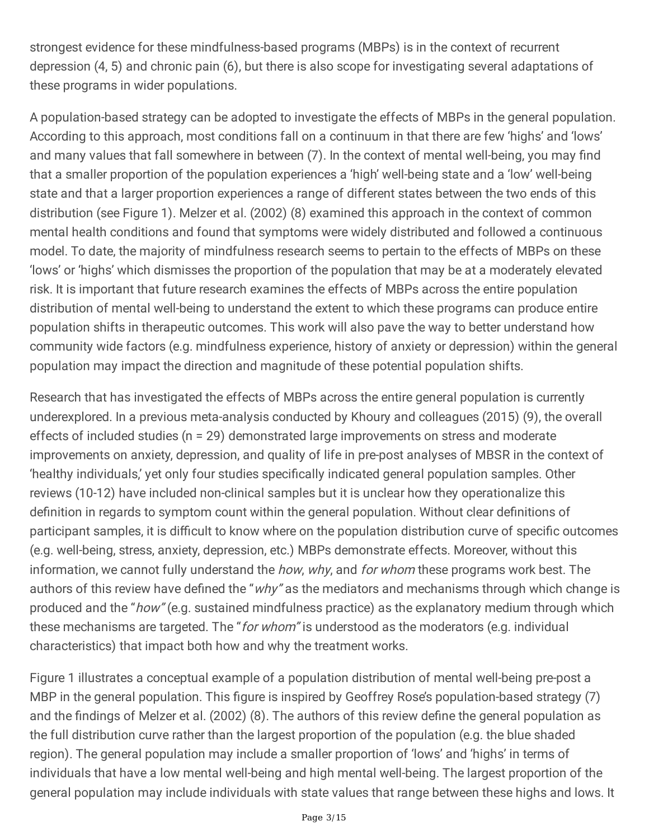strongest evidence for these mindfulness-based programs (MBPs) is in the context of recurrent depression (4, 5) and chronic pain (6), but there is also scope for investigating several adaptations of these programs in wider populations.

A population-based strategy can be adopted to investigate the effects of MBPs in the general population. According to this approach, most conditions fall on a continuum in that there are few 'highs' and 'lows' and many values that fall somewhere in between (7). In the context of mental well-being, you may find that a smaller proportion of the population experiences a 'high' well-being state and a 'low' well-being state and that a larger proportion experiences a range of different states between the two ends of this distribution (see Figure 1). Melzer et al. (2002) (8) examined this approach in the context of common mental health conditions and found that symptoms were widely distributed and followed a continuous model. To date, the majority of mindfulness research seems to pertain to the effects of MBPs on these 'lows' or 'highs' which dismisses the proportion of the population that may be at a moderately elevated risk. It is important that future research examines the effects of MBPs across the entire population distribution of mental well-being to understand the extent to which these programs can produce entire population shifts in therapeutic outcomes. This work will also pave the way to better understand how community wide factors (e.g. mindfulness experience, history of anxiety or depression) within the general population may impact the direction and magnitude of these potential population shifts.

Research that has investigated the effects of MBPs across the entire general population is currently underexplored. In a previous meta-analysis conducted by Khoury and colleagues (2015) (9), the overall effects of included studies (n = 29) demonstrated large improvements on stress and moderate improvements on anxiety, depression, and quality of life in pre-post analyses of MBSR in the context of 'healthy individuals,' yet only four studies specifically indicated general population samples. Other reviews (10-12) have included non-clinical samples but it is unclear how they operationalize this definition in regards to symptom count within the general population. Without clear definitions of participant samples, it is difficult to know where on the population distribution curve of specific outcomes (e.g. well-being, stress, anxiety, depression, etc.) MBPs demonstrate effects. Moreover, without this information, we cannot fully understand the how, why, and for whom these programs work best. The authors of this review have defined the "why" as the mediators and mechanisms through which change is produced and the "how" (e.g. sustained mindfulness practice) as the explanatory medium through which these mechanisms are targeted. The "*for whom*" is understood as the moderators (e.g. individual characteristics) that impact both how and why the treatment works.

Figure 1 illustrates a conceptual example of a population distribution of mental well-being pre-post a MBP in the general population. This figure is inspired by Geoffrey Rose's population-based strategy (7) and the findings of Melzer et al. (2002) (8). The authors of this review define the general population as the full distribution curve rather than the largest proportion of the population (e.g. the blue shaded region). The general population may include a smaller proportion of 'lows' and 'highs' in terms of individuals that have a low mental well-being and high mental well-being. The largest proportion of the general population may include individuals with state values that range between these highs and lows. It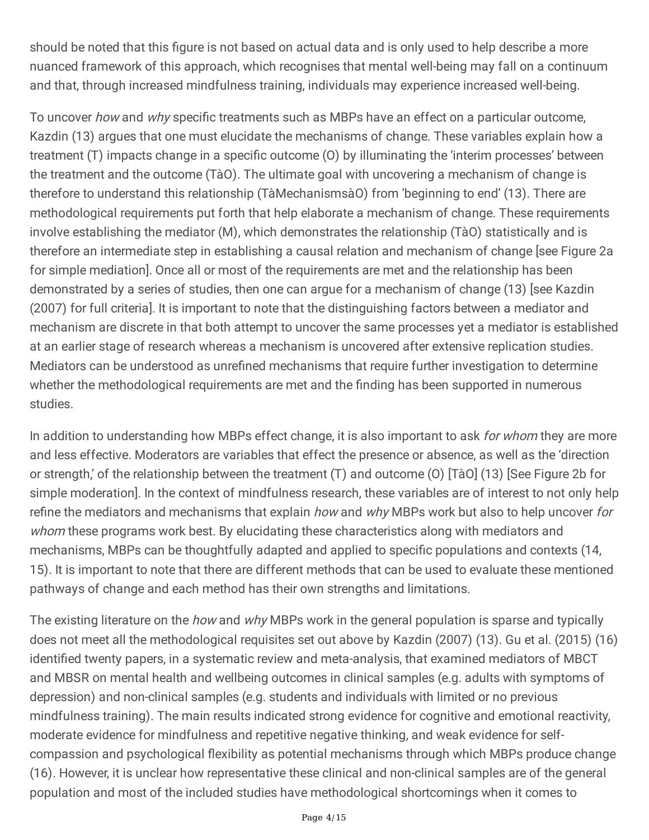should be noted that this figure is not based on actual data and is only used to help describe a more nuanced framework of this approach, which recognises that mental well-being may fall on a continuum and that, through increased mindfulness training, individuals may experience increased well-being.

To uncover how and why specific treatments such as MBPs have an effect on a particular outcome, Kazdin (13) argues that one must elucidate the mechanisms of change. These variables explain how a treatment (T) impacts change in a specific outcome (O) by illuminating the 'interim processes' between the treatment and the outcome (TàO). The ultimate goal with uncovering a mechanism of change is therefore to understand this relationship (TàMechanismsàO) from 'beginning to end' (13). There are methodological requirements put forth that help elaborate a mechanism of change. These requirements involve establishing the mediator (M), which demonstrates the relationship (TàO) statistically and is therefore an intermediate step in establishing a causal relation and mechanism of change [see Figure 2a for simple mediation]. Once all or most of the requirements are met and the relationship has been demonstrated by a series of studies, then one can argue for a mechanism of change (13) [see Kazdin (2007) for full criteria]. It is important to note that the distinguishing factors between a mediator and mechanism are discrete in that both attempt to uncover the same processes yet a mediator is established at an earlier stage of research whereas a mechanism is uncovered after extensive replication studies. Mediators can be understood as unrefined mechanisms that require further investigation to determine whether the methodological requirements are met and the finding has been supported in numerous studies.

In addition to understanding how MBPs effect change, it is also important to ask for whom they are more and less effective. Moderators are variables that effect the presence or absence, as well as the 'direction or strength,' of the relationship between the treatment (T) and outcome (O) [TàO] (13) [See Figure 2b for simple moderation]. In the context of mindfulness research, these variables are of interest to not only help refine the mediators and mechanisms that explain *how* and why MBPs work but also to help uncover for whom these programs work best. By elucidating these characteristics along with mediators and mechanisms, MBPs can be thoughtfully adapted and applied to specific populations and contexts (14, 15). It is important to note that there are different methods that can be used to evaluate these mentioned pathways of change and each method has their own strengths and limitations.

The existing literature on the *how* and why MBPs work in the general population is sparse and typically does not meet all the methodological requisites set out above by Kazdin (2007) (13). Gu et al. (2015) (16) identified twenty papers, in a systematic review and meta-analysis, that examined mediators of MBCT and MBSR on mental health and wellbeing outcomes in clinical samples (e.g. adults with symptoms of depression) and non-clinical samples (e.g. students and individuals with limited or no previous mindfulness training). The main results indicated strong evidence for cognitive and emotional reactivity, moderate evidence for mindfulness and repetitive negative thinking, and weak evidence for selfcompassion and psychological flexibility as potential mechanisms through which MBPs produce change (16). However, it is unclear how representative these clinical and non-clinical samples are of the general population and most of the included studies have methodological shortcomings when it comes to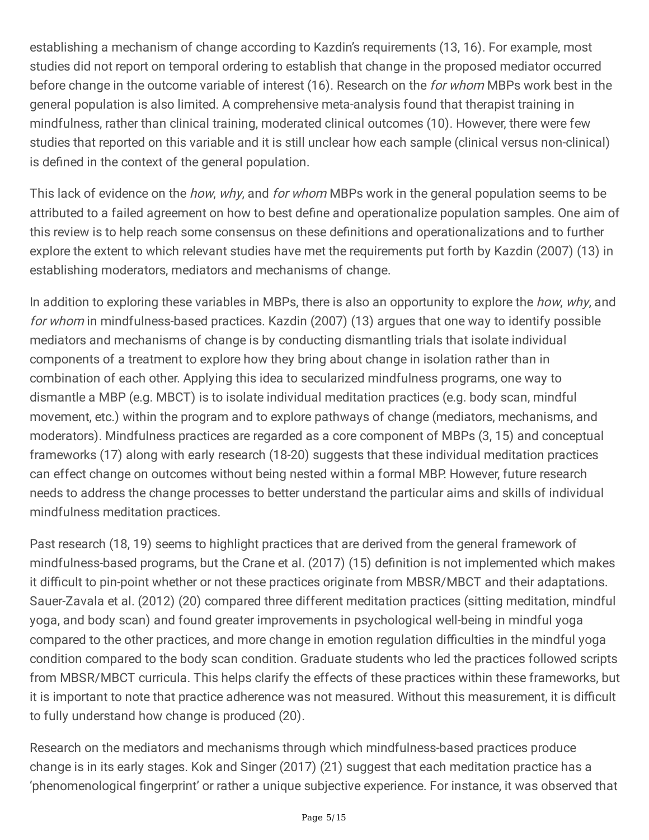establishing a mechanism of change according to Kazdin's requirements (13, 16). For example, most studies did not report on temporal ordering to establish that change in the proposed mediator occurred before change in the outcome variable of interest (16). Research on the for whom MBPs work best in the general population is also limited. A comprehensive meta-analysis found that therapist training in mindfulness, rather than clinical training, moderated clinical outcomes (10). However, there were few studies that reported on this variable and it is still unclear how each sample (clinical versus non-clinical) is defined in the context of the general population.

This lack of evidence on the *how, why,* and *for whom* MBPs work in the general population seems to be attributed to a failed agreement on how to best define and operationalize population samples. One aim of this review is to help reach some consensus on these definitions and operationalizations and to further explore the extent to which relevant studies have met the requirements put forth by Kazdin (2007) (13) in establishing moderators, mediators and mechanisms of change.

In addition to exploring these variables in MBPs, there is also an opportunity to explore the how, why, and for whom in mindfulness-based practices. Kazdin (2007) (13) arques that one way to identify possible mediators and mechanisms of change is by conducting dismantling trials that isolate individual components of a treatment to explore how they bring about change in isolation rather than in combination of each other. Applying this idea to secularized mindfulness programs, one way to dismantle a MBP (e.g. MBCT) is to isolate individual meditation practices (e.g. body scan, mindful movement, etc.) within the program and to explore pathways of change (mediators, mechanisms, and moderators). Mindfulness practices are regarded as a core component of MBPs (3, 15) and conceptual frameworks (17) along with early research (18-20) suggests that these individual meditation practices can effect change on outcomes without being nested within a formal MBP. However, future research needs to address the change processes to better understand the particular aims and skills of individual mindfulness meditation practices.

Past research (18, 19) seems to highlight practices that are derived from the general framework of mindfulness-based programs, but the Crane et al. (2017) (15) definition is not implemented which makes it difficult to pin-point whether or not these practices originate from MBSR/MBCT and their adaptations. Sauer-Zavala et al. (2012) (20) compared three different meditation practices (sitting meditation, mindful yoga, and body scan) and found greater improvements in psychological well-being in mindful yoga compared to the other practices, and more change in emotion regulation difficulties in the mindful yoga condition compared to the body scan condition. Graduate students who led the practices followed scripts from MBSR/MBCT curricula. This helps clarify the effects of these practices within these frameworks, but it is important to note that practice adherence was not measured. Without this measurement, it is difficult to fully understand how change is produced (20).

Research on the mediators and mechanisms through which mindfulness-based practices produce change is in its early stages. Kok and Singer (2017) (21) suggest that each meditation practice has a 'phenomenological fingerprint' or rather a unique subjective experience. For instance, it was observed that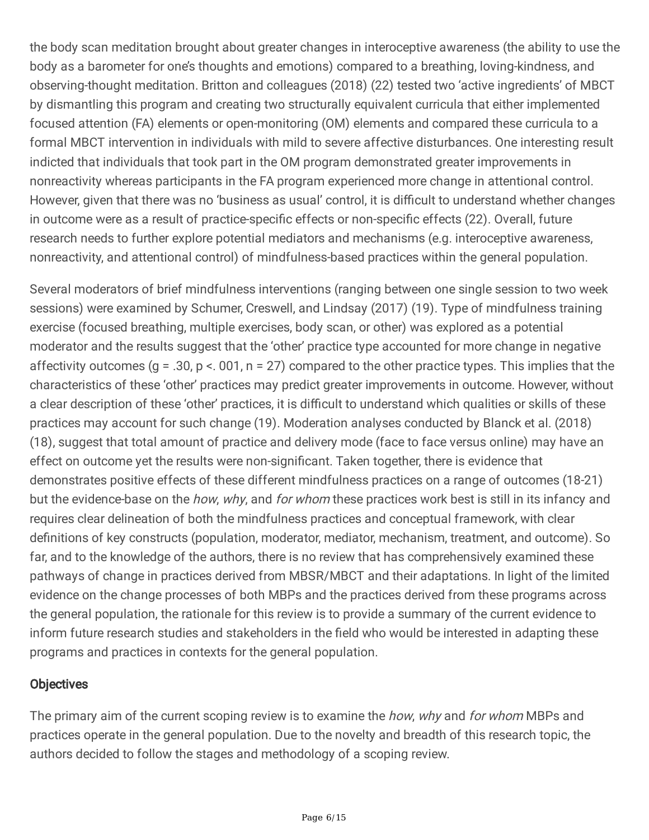the body scan meditation brought about greater changes in interoceptive awareness (the ability to use the body as a barometer for one's thoughts and emotions) compared to a breathing, loving-kindness, and observing-thought meditation. Britton and colleagues (2018) (22) tested two 'active ingredients' of MBCT by dismantling this program and creating two structurally equivalent curricula that either implemented focused attention (FA) elements or open-monitoring (OM) elements and compared these curricula to a formal MBCT intervention in individuals with mild to severe affective disturbances. One interesting result indicted that individuals that took part in the OM program demonstrated greater improvements in nonreactivity whereas participants in the FA program experienced more change in attentional control. However, given that there was no 'business as usual' control, it is difficult to understand whether changes in outcome were as a result of practice-specific effects or non-specific effects (22). Overall, future research needs to further explore potential mediators and mechanisms (e.g. interoceptive awareness, nonreactivity, and attentional control) of mindfulness-based practices within the general population.

Several moderators of brief mindfulness interventions (ranging between one single session to two week sessions) were examined by Schumer, Creswell, and Lindsay (2017) (19). Type of mindfulness training exercise (focused breathing, multiple exercises, body scan, or other) was explored as a potential moderator and the results suggest that the 'other' practice type accounted for more change in negative affectivity outcomes ( $g = .30$ ,  $p < .001$ ,  $n = 27$ ) compared to the other practice types. This implies that the characteristics of these 'other' practices may predict greater improvements in outcome. However, without a clear description of these 'other' practices, it is difficult to understand which qualities or skills of these practices may account for such change (19). Moderation analyses conducted by Blanck et al. (2018) (18), suggest that total amount of practice and delivery mode (face to face versus online) may have an effect on outcome yet the results were non-significant. Taken together, there is evidence that demonstrates positive effects of these different mindfulness practices on a range of outcomes (18-21) but the evidence-base on the *how, why,* and *for whom* these practices work best is still in its infancy and requires clear delineation of both the mindfulness practices and conceptual framework, with clear definitions of key constructs (population, moderator, mediator, mechanism, treatment, and outcome). So far, and to the knowledge of the authors, there is no review that has comprehensively examined these pathways of change in practices derived from MBSR/MBCT and their adaptations. In light of the limited evidence on the change processes of both MBPs and the practices derived from these programs across the general population, the rationale for this review is to provide a summary of the current evidence to inform future research studies and stakeholders in the field who would be interested in adapting these programs and practices in contexts for the general population.

#### **Objectives**

The primary aim of the current scoping review is to examine the *how, why* and *for whom* MBPs and practices operate in the general population. Due to the novelty and breadth of this research topic, the authors decided to follow the stages and methodology of a scoping review.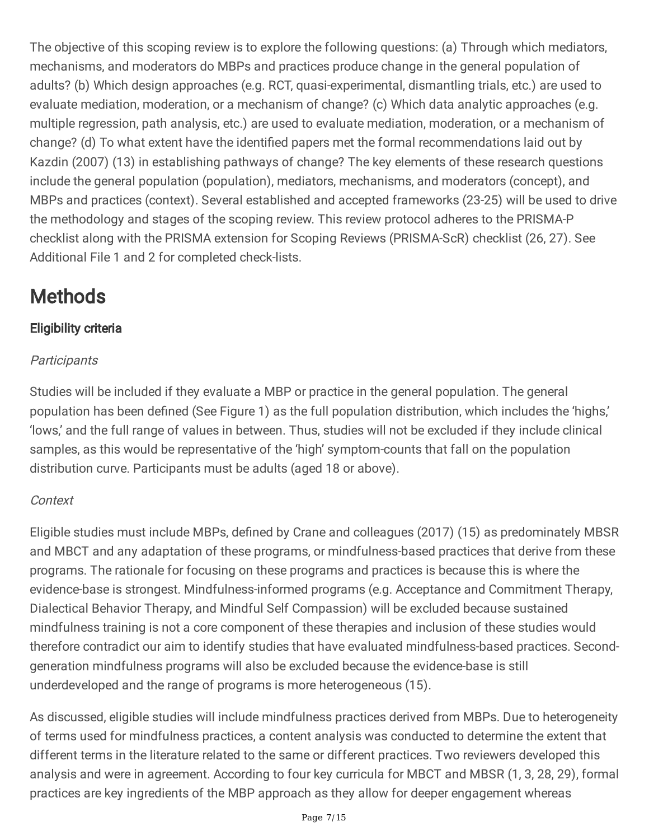The objective of this scoping review is to explore the following questions: (a) Through which mediators, mechanisms, and moderators do MBPs and practices produce change in the general population of adults? (b) Which design approaches (e.g. RCT, quasi-experimental, dismantling trials, etc.) are used to evaluate mediation, moderation, or a mechanism of change? (c) Which data analytic approaches (e.g. multiple regression, path analysis, etc.) are used to evaluate mediation, moderation, or a mechanism of change? (d) To what extent have the identified papers met the formal recommendations laid out by Kazdin (2007) (13) in establishing pathways of change? The key elements of these research questions include the general population (population), mediators, mechanisms, and moderators (concept), and MBPs and practices (context). Several established and accepted frameworks (23-25) will be used to drive the methodology and stages of the scoping review. This review protocol adheres to the PRISMA-P checklist along with the PRISMA extension for Scoping Reviews (PRISMA-ScR) checklist (26, 27). See Additional File 1 and 2 for completed check-lists.

# **Methods**

### Eligibility criteria

### **Participants**

Studies will be included if they evaluate a MBP or practice in the general population. The general population has been defined (See Figure 1) as the full population distribution, which includes the 'highs,' 'lows,' and the full range of values in between. Thus, studies will not be excluded if they include clinical samples, as this would be representative of the 'high' symptom-counts that fall on the population distribution curve. Participants must be adults (aged 18 or above).

### Context

Eligible studies must include MBPs, defined by Crane and colleagues (2017) (15) as predominately MBSR and MBCT and any adaptation of these programs, or mindfulness-based practices that derive from these programs. The rationale for focusing on these programs and practices is because this is where the evidence-base is strongest. Mindfulness-informed programs (e.g. Acceptance and Commitment Therapy, Dialectical Behavior Therapy, and Mindful Self Compassion) will be excluded because sustained mindfulness training is not a core component of these therapies and inclusion of these studies would therefore contradict our aim to identify studies that have evaluated mindfulness-based practices. Secondgeneration mindfulness programs will also be excluded because the evidence-base is still underdeveloped and the range of programs is more heterogeneous (15).

As discussed, eligible studies will include mindfulness practices derived from MBPs. Due to heterogeneity of terms used for mindfulness practices, a content analysis was conducted to determine the extent that different terms in the literature related to the same or different practices. Two reviewers developed this analysis and were in agreement. According to four key curricula for MBCT and MBSR (1, 3, 28, 29), formal practices are key ingredients of the MBP approach as they allow for deeper engagement whereas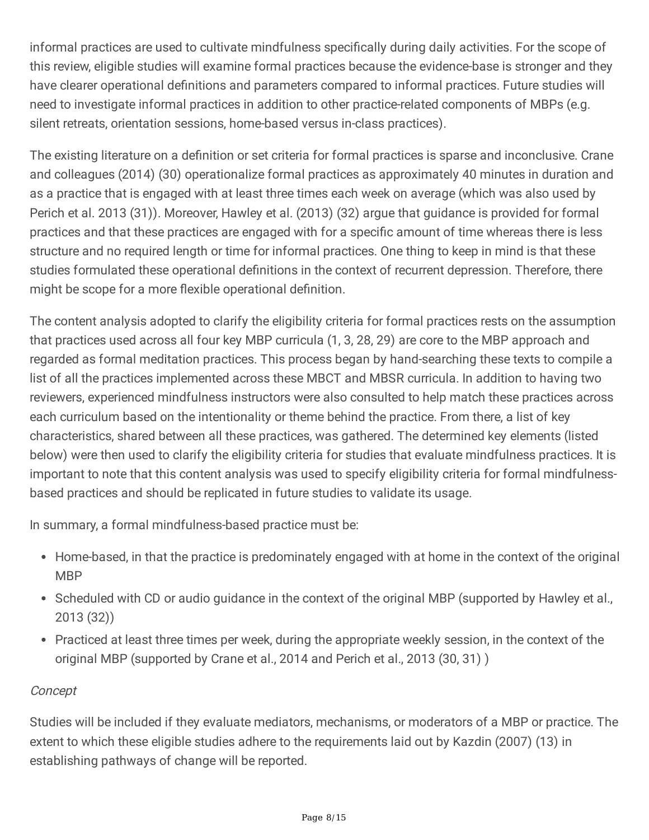informal practices are used to cultivate mindfulness specifically during daily activities. For the scope of this review, eligible studies will examine formal practices because the evidence-base is stronger and they have clearer operational definitions and parameters compared to informal practices. Future studies will need to investigate informal practices in addition to other practice-related components of MBPs (e.g. silent retreats, orientation sessions, home-based versus in-class practices).

The existing literature on a definition or set criteria for formal practices is sparse and inconclusive. Crane and colleagues (2014) (30) operationalize formal practices as approximately 40 minutes in duration and as a practice that is engaged with at least three times each week on average (which was also used by Perich et al. 2013 (31)). Moreover, Hawley et al. (2013) (32) argue that guidance is provided for formal practices and that these practices are engaged with for a specific amount of time whereas there is less structure and no required length or time for informal practices. One thing to keep in mind is that these studies formulated these operational definitions in the context of recurrent depression. Therefore, there might be scope for a more flexible operational definition.

The content analysis adopted to clarify the eligibility criteria for formal practices rests on the assumption that practices used across all four key MBP curricula (1, 3, 28, 29) are core to the MBP approach and regarded as formal meditation practices. This process began by hand-searching these texts to compile a list of all the practices implemented across these MBCT and MBSR curricula. In addition to having two reviewers, experienced mindfulness instructors were also consulted to help match these practices across each curriculum based on the intentionality or theme behind the practice. From there, a list of key characteristics, shared between all these practices, was gathered. The determined key elements (listed below) were then used to clarify the eligibility criteria for studies that evaluate mindfulness practices. It is important to note that this content analysis was used to specify eligibility criteria for formal mindfulnessbased practices and should be replicated in future studies to validate its usage.

In summary, a formal mindfulness-based practice must be:

- Home-based, in that the practice is predominately engaged with at home in the context of the original MBP
- Scheduled with CD or audio guidance in the context of the original MBP (supported by Hawley et al., 2013 (32))
- Practiced at least three times per week, during the appropriate weekly session, in the context of the original MBP (supported by Crane et al., 2014 and Perich et al., 2013 (30, 31) )

### Concept

Studies will be included if they evaluate mediators, mechanisms, or moderators of a MBP or practice. The extent to which these eligible studies adhere to the requirements laid out by Kazdin (2007) (13) in establishing pathways of change will be reported.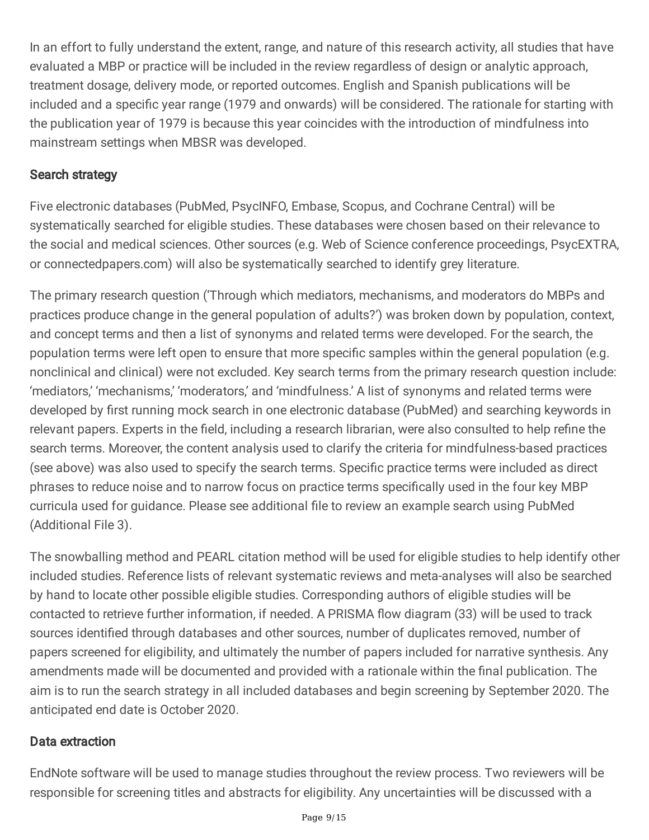In an effort to fully understand the extent, range, and nature of this research activity, all studies that have evaluated a MBP or practice will be included in the review regardless of design or analytic approach, treatment dosage, delivery mode, or reported outcomes. English and Spanish publications will be included and a specific year range (1979 and onwards) will be considered. The rationale for starting with the publication year of 1979 is because this year coincides with the introduction of mindfulness into mainstream settings when MBSR was developed.

#### Search strategy

Five electronic databases (PubMed, PsycINFO, Embase, Scopus, and Cochrane Central) will be systematically searched for eligible studies. These databases were chosen based on their relevance to the social and medical sciences. Other sources (e.g. Web of Science conference proceedings, PsycEXTRA, or connectedpapers.com) will also be systematically searched to identify grey literature.

The primary research question ('Through which mediators, mechanisms, and moderators do MBPs and practices produce change in the general population of adults?') was broken down by population, context, and concept terms and then a list of synonyms and related terms were developed. For the search, the population terms were left open to ensure that more specific samples within the general population (e.g. nonclinical and clinical) were not excluded. Key search terms from the primary research question include: 'mediators,' 'mechanisms,' 'moderators,' and 'mindfulness.' A list of synonyms and related terms were developed by first running mock search in one electronic database (PubMed) and searching keywords in relevant papers. Experts in the field, including a research librarian, were also consulted to help refine the search terms. Moreover, the content analysis used to clarify the criteria for mindfulness-based practices (see above) was also used to specify the search terms. Specific practice terms were included as direct phrases to reduce noise and to narrow focus on practice terms specifically used in the four key MBP curricula used for guidance. Please see additional file to review an example search using PubMed (Additional File 3).

The snowballing method and PEARL citation method will be used for eligible studies to help identify other included studies. Reference lists of relevant systematic reviews and meta-analyses will also be searched by hand to locate other possible eligible studies. Corresponding authors of eligible studies will be contacted to retrieve further information, if needed. A PRISMA flow diagram (33) will be used to track sources identified through databases and other sources, number of duplicates removed, number of papers screened for eligibility, and ultimately the number of papers included for narrative synthesis. Any amendments made will be documented and provided with a rationale within the final publication. The aim is to run the search strategy in all included databases and begin screening by September 2020. The anticipated end date is October 2020.

#### Data extraction

EndNote software will be used to manage studies throughout the review process. Two reviewers will be responsible for screening titles and abstracts for eligibility. Any uncertainties will be discussed with a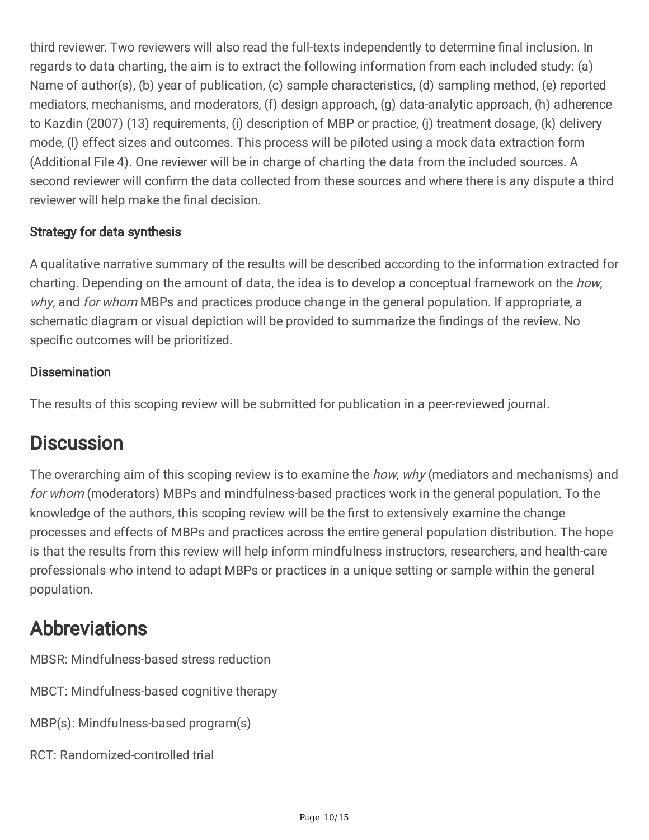third reviewer. Two reviewers will also read the full-texts independently to determine final inclusion. In regards to data charting, the aim is to extract the following information from each included study: (a) Name of author(s), (b) year of publication, (c) sample characteristics, (d) sampling method, (e) reported mediators, mechanisms, and moderators, (f) design approach, (g) data-analytic approach, (h) adherence to Kazdin (2007) (13) requirements, (i) description of MBP or practice, (j) treatment dosage, (k) delivery mode, (l) effect sizes and outcomes. This process will be piloted using a mock data extraction form (Additional File 4). One reviewer will be in charge of charting the data from the included sources. A second reviewer will confirm the data collected from these sources and where there is any dispute a third reviewer will help make the final decision.

### Strategy for data synthesis

A qualitative narrative summary of the results will be described according to the information extracted for charting. Depending on the amount of data, the idea is to develop a conceptual framework on the *how*, why, and for whom MBPs and practices produce change in the general population. If appropriate, a schematic diagram or visual depiction will be provided to summarize the findings of the review. No specific outcomes will be prioritized.

#### **Dissemination**

The results of this scoping review will be submitted for publication in a peer-reviewed journal.

### **Discussion**

The overarching aim of this scoping review is to examine the *how, why* (mediators and mechanisms) and for whom (moderators) MBPs and mindfulness-based practices work in the general population. To the knowledge of the authors, this scoping review will be the first to extensively examine the change processes and effects of MBPs and practices across the entire general population distribution. The hope is that the results from this review will help inform mindfulness instructors, researchers, and health-care professionals who intend to adapt MBPs or practices in a unique setting or sample within the general population.

### Abbreviations

MBSR: Mindfulness-based stress reduction

MBCT: Mindfulness-based cognitive therapy

MBP(s): Mindfulness-based program(s)

RCT: Randomized-controlled trial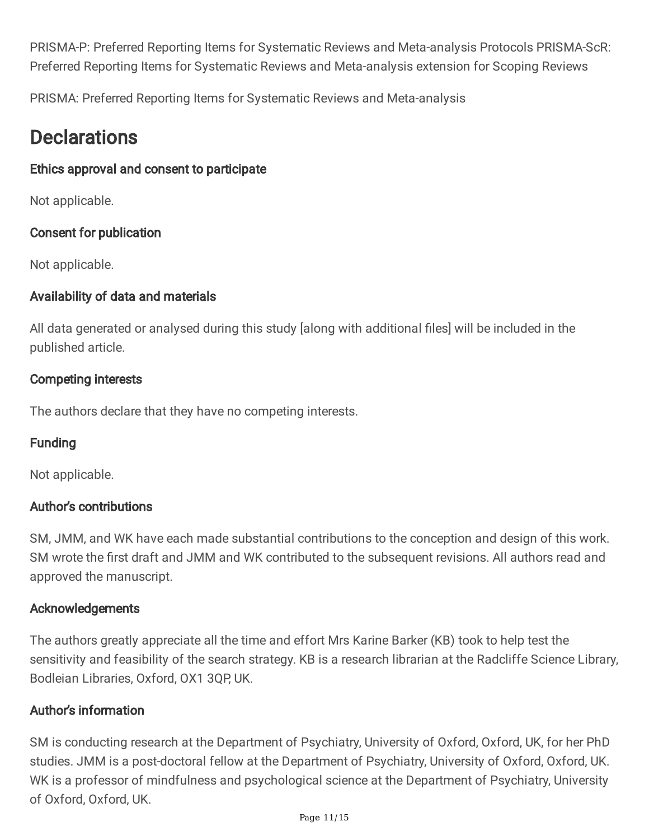PRISMA-P: Preferred Reporting Items for Systematic Reviews and Meta-analysis Protocols PRISMA-ScR: Preferred Reporting Items for Systematic Reviews and Meta-analysis extension for Scoping Reviews

PRISMA: Preferred Reporting Items for Systematic Reviews and Meta-analysis

### **Declarations**

### Ethics approval and consent to participate

Not applicable.

### Consent for publication

Not applicable.

### Availability of data and materials

All data generated or analysed during this study [along with additional files] will be included in the published article.

### Competing interests

The authors declare that they have no competing interests.

### Funding

Not applicable.

#### Author's contributions

SM, JMM, and WK have each made substantial contributions to the conception and design of this work. SM wrote the first draft and JMM and WK contributed to the subsequent revisions. All authors read and approved the manuscript.

#### Acknowledgements

The authors greatly appreciate all the time and effort Mrs Karine Barker (KB) took to help test the sensitivity and feasibility of the search strategy. KB is a research librarian at the Radcliffe Science Library, Bodleian Libraries, Oxford, OX1 3QP, UK.

### Author's information

SM is conducting research at the Department of Psychiatry, University of Oxford, Oxford, UK, for her PhD studies. JMM is a post-doctoral fellow at the Department of Psychiatry, University of Oxford, Oxford, UK. WK is a professor of mindfulness and psychological science at the Department of Psychiatry, University of Oxford, Oxford, UK.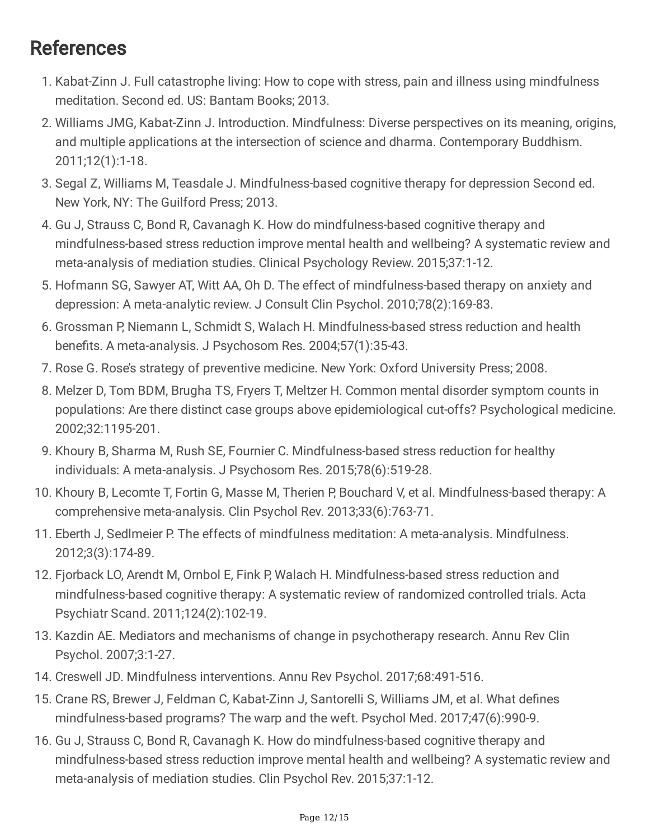### References

- 1. Kabat-Zinn J. Full catastrophe living: How to cope with stress, pain and illness using mindfulness meditation. Second ed. US: Bantam Books; 2013.
- 2. Williams JMG, Kabat-Zinn J. Introduction. Mindfulness: Diverse perspectives on its meaning, origins, and multiple applications at the intersection of science and dharma. Contemporary Buddhism. 2011;12(1):1-18.
- 3. Segal Z, Williams M, Teasdale J. Mindfulness-based cognitive therapy for depression Second ed. New York, NY: The Guilford Press; 2013.
- 4. Gu J, Strauss C, Bond R, Cavanagh K. How do mindfulness-based cognitive therapy and mindfulness-based stress reduction improve mental health and wellbeing? A systematic review and meta-analysis of mediation studies. Clinical Psychology Review. 2015;37:1-12.
- 5. Hofmann SG, Sawyer AT, Witt AA, Oh D. The effect of mindfulness-based therapy on anxiety and depression: A meta-analytic review. J Consult Clin Psychol. 2010;78(2):169-83.
- 6. Grossman P, Niemann L, Schmidt S, Walach H. Mindfulness-based stress reduction and health benefits. A meta-analysis. J Psychosom Res. 2004;57(1):35-43.
- 7. Rose G. Rose's strategy of preventive medicine. New York: Oxford University Press; 2008.
- 8. Melzer D, Tom BDM, Brugha TS, Fryers T, Meltzer H. Common mental disorder symptom counts in populations: Are there distinct case groups above epidemiological cut-offs? Psychological medicine. 2002;32:1195-201.
- 9. Khoury B, Sharma M, Rush SE, Fournier C. Mindfulness-based stress reduction for healthy individuals: A meta-analysis. J Psychosom Res. 2015;78(6):519-28.
- 10. Khoury B, Lecomte T, Fortin G, Masse M, Therien P, Bouchard V, et al. Mindfulness-based therapy: A comprehensive meta-analysis. Clin Psychol Rev. 2013;33(6):763-71.
- 11. Eberth J, Sedlmeier P. The effects of mindfulness meditation: A meta-analysis. Mindfulness. 2012;3(3):174-89.
- 12. Fjorback LO, Arendt M, Ornbol E, Fink P, Walach H. Mindfulness-based stress reduction and mindfulness-based cognitive therapy: A systematic review of randomized controlled trials. Acta Psychiatr Scand. 2011;124(2):102-19.
- 13. Kazdin AE. Mediators and mechanisms of change in psychotherapy research. Annu Rev Clin Psychol. 2007;3:1-27.
- 14. Creswell JD. Mindfulness interventions. Annu Rev Psychol. 2017;68:491-516.
- 15. Crane RS, Brewer J, Feldman C, Kabat-Zinn J, Santorelli S, Williams JM, et al. What defines mindfulness-based programs? The warp and the weft. Psychol Med. 2017;47(6):990-9.
- 16. Gu J, Strauss C, Bond R, Cavanagh K. How do mindfulness-based cognitive therapy and mindfulness-based stress reduction improve mental health and wellbeing? A systematic review and meta-analysis of mediation studies. Clin Psychol Rev. 2015;37:1-12.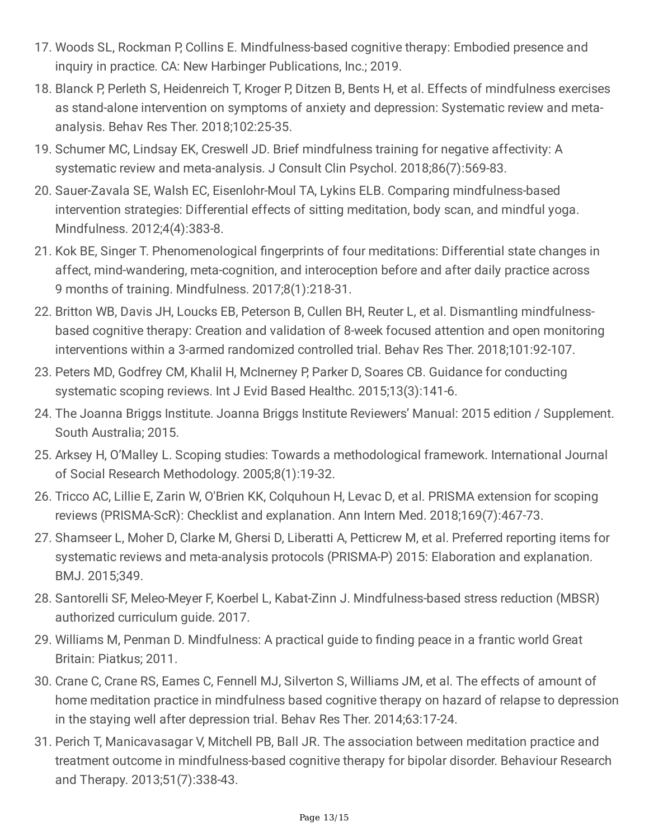- 17. Woods SL, Rockman P, Collins E. Mindfulness-based cognitive therapy: Embodied presence and inquiry in practice. CA: New Harbinger Publications, Inc.; 2019.
- 18. Blanck P, Perleth S, Heidenreich T, Kroger P, Ditzen B, Bents H, et al. Effects of mindfulness exercises as stand-alone intervention on symptoms of anxiety and depression: Systematic review and metaanalysis. Behav Res Ther. 2018;102:25-35.
- 19. Schumer MC, Lindsay EK, Creswell JD. Brief mindfulness training for negative affectivity: A systematic review and meta-analysis. J Consult Clin Psychol. 2018;86(7):569-83.
- 20. Sauer-Zavala SE, Walsh EC, Eisenlohr-Moul TA, Lykins ELB. Comparing mindfulness-based intervention strategies: Differential effects of sitting meditation, body scan, and mindful yoga. Mindfulness. 2012;4(4):383-8.
- 21. Kok BE, Singer T. Phenomenological fingerprints of four meditations: Differential state changes in affect, mind-wandering, meta-cognition, and interoception before and after daily practice across 9 months of training. Mindfulness. 2017;8(1):218-31.
- 22. Britton WB, Davis JH, Loucks EB, Peterson B, Cullen BH, Reuter L, et al. Dismantling mindfulnessbased cognitive therapy: Creation and validation of 8-week focused attention and open monitoring interventions within a 3-armed randomized controlled trial. Behav Res Ther. 2018;101:92-107.
- 23. Peters MD, Godfrey CM, Khalil H, McInerney P, Parker D, Soares CB. Guidance for conducting systematic scoping reviews. Int J Evid Based Healthc. 2015;13(3):141-6.
- 24. The Joanna Briggs Institute. Joanna Briggs Institute Reviewers' Manual: 2015 edition / Supplement. South Australia; 2015.
- 25. Arksey H, O'Malley L. Scoping studies: Towards a methodological framework. International Journal of Social Research Methodology. 2005;8(1):19-32.
- 26. Tricco AC, Lillie E, Zarin W, O'Brien KK, Colquhoun H, Levac D, et al. PRISMA extension for scoping reviews (PRISMA-ScR): Checklist and explanation. Ann Intern Med. 2018;169(7):467-73.
- 27. Shamseer L, Moher D, Clarke M, Ghersi D, Liberatti A, Petticrew M, et al. Preferred reporting items for systematic reviews and meta-analysis protocols (PRISMA-P) 2015: Elaboration and explanation. BMJ. 2015;349.
- 28. Santorelli SF, Meleo-Meyer F, Koerbel L, Kabat-Zinn J. Mindfulness-based stress reduction (MBSR) authorized curriculum guide. 2017.
- 29. Williams M, Penman D. Mindfulness: A practical guide to finding peace in a frantic world Great Britain: Piatkus; 2011.
- 30. Crane C, Crane RS, Eames C, Fennell MJ, Silverton S, Williams JM, et al. The effects of amount of home meditation practice in mindfulness based cognitive therapy on hazard of relapse to depression in the staying well after depression trial. Behav Res Ther. 2014;63:17-24.
- 31. Perich T, Manicavasagar V, Mitchell PB, Ball JR. The association between meditation practice and treatment outcome in mindfulness-based cognitive therapy for bipolar disorder. Behaviour Research and Therapy. 2013;51(7):338-43.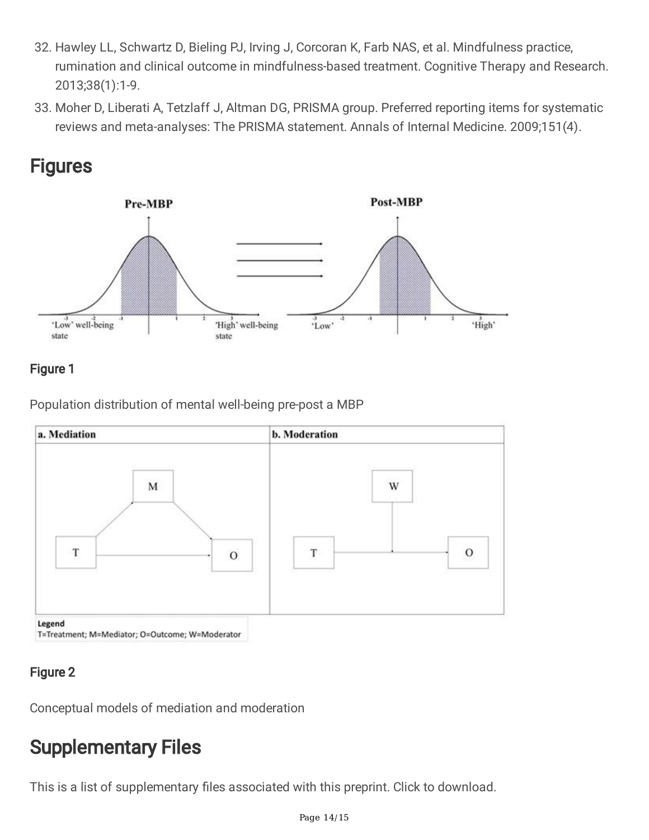- 32. Hawley LL, Schwartz D, Bieling PJ, Irving J, Corcoran K, Farb NAS, et al. Mindfulness practice, rumination and clinical outcome in mindfulness-based treatment. Cognitive Therapy and Research. 2013;38(1):1-9.
- 33. Moher D, Liberati A, Tetzlaff J, Altman DG, PRISMA group. Preferred reporting items for systematic reviews and meta-analyses: The PRISMA statement. Annals of Internal Medicine. 2009;151(4).

### **Figures**



### Figure 1

Population distribution of mental well-being pre-post a MBP



#### Figure 2

Conceptual models of mediation and moderation

## Supplementary Files

This is a list of supplementary files associated with this preprint. Click to download.